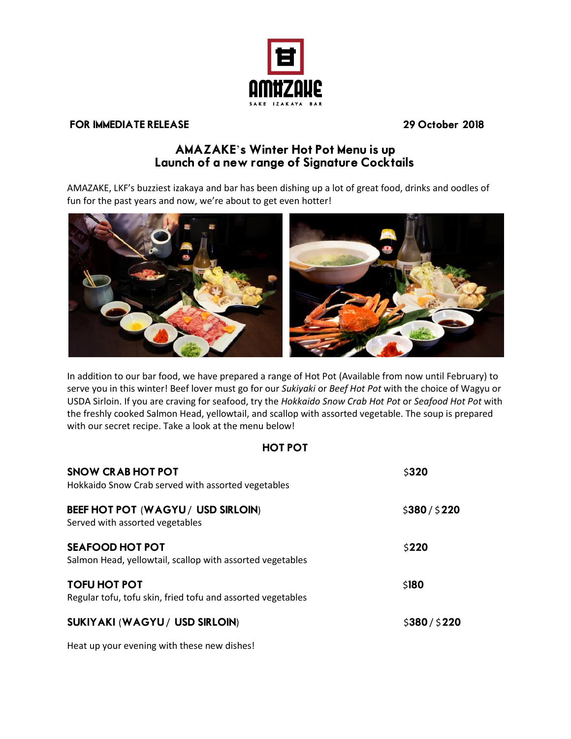

## FOR IMMEDIATE RELEASE 29 October 2018

## AMAZAKE's Winter Hot Pot Menu is up Launch of a new range of Signature Cocktails

AMAZAKE, LKF's buzziest izakaya and bar has been dishing up a lot of great food, drinks and oodles of fun for the past years and now, we're about to get even hotter!



In addition to our bar food, we have prepared a range of Hot Pot (Available from now until February) to serve you in this winter! Beef lover must go for our *Sukiyaki* or *Beef Hot Pot* with the choice of Wagyu or USDA Sirloin. If you are craving for seafood, try the *Hokkaido Snow Crab Hot Pot* or *Seafood Hot Pot* with the freshly cooked Salmon Head, yellowtail, and scallop with assorted vegetable. The soup is prepared with our secret recipe. Take a look at the menu below!

## HOT POT

| <b>SNOW CRAB HOT POT</b><br>Hokkaido Snow Crab served with assorted vegetables      | \$320         |
|-------------------------------------------------------------------------------------|---------------|
| BEEF HOT POT (WAGYU/ USD SIRLOIN)<br>Served with assorted vegetables                | \$380/\$220   |
| <b>SEAFOOD HOT POT</b><br>Salmon Head, yellowtail, scallop with assorted vegetables | \$220         |
| <b>TOFU HOT POT</b><br>Regular tofu, tofu skin, fried tofu and assorted vegetables  | \$180         |
| SUKIYAKI (WAGYU / USD SIRLOIN)                                                      | \$380 / \$220 |

Heat up your evening with these new dishes!